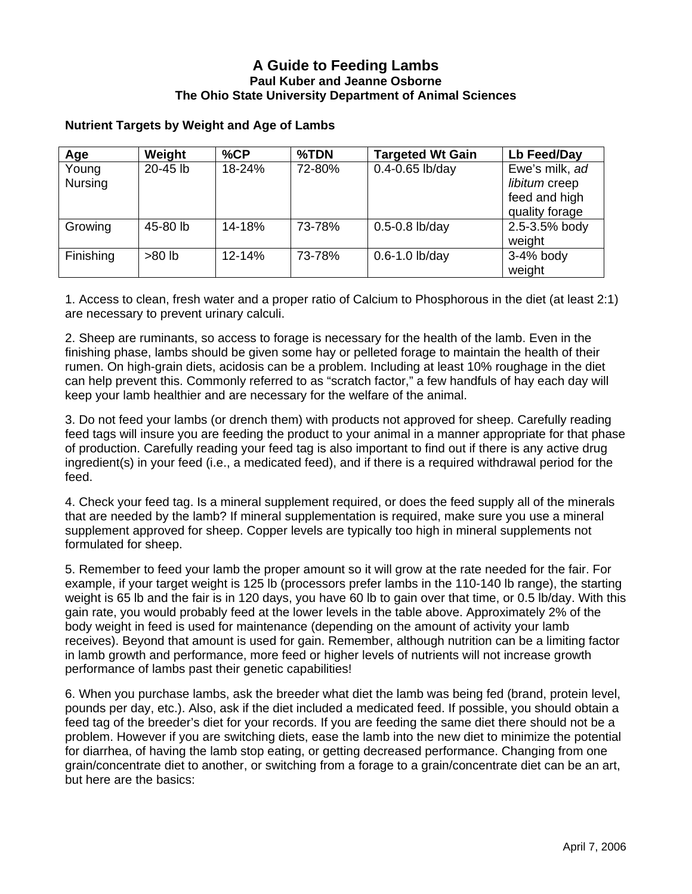## **A Guide to Feeding Lambs Paul Kuber and Jeanne Osborne The Ohio State University Department of Animal Sciences**

## **Nutrient Targets by Weight and Age of Lambs**

| Age                     | Weight   | %CP        | %TDN   | <b>Targeted Wt Gain</b> | Lb Feed/Day                                                        |
|-------------------------|----------|------------|--------|-------------------------|--------------------------------------------------------------------|
| Young<br><b>Nursing</b> | 20-45 lb | 18-24%     | 72-80% | $0.4 - 0.65$ lb/day     | Ewe's milk, ad<br>libitum creep<br>feed and high<br>quality forage |
| Growing                 | 45-80 lb | 14-18%     | 73-78% | $0.5 - 0.8$ lb/day      | 2.5-3.5% body<br>weight                                            |
| Finishing               | $>80$ lb | $12 - 14%$ | 73-78% | $0.6 - 1.0$ lb/day      | $3-4%$ body<br>weight                                              |

1. Access to clean, fresh water and a proper ratio of Calcium to Phosphorous in the diet (at least 2:1) are necessary to prevent urinary calculi.

2. Sheep are ruminants, so access to forage is necessary for the health of the lamb. Even in the finishing phase, lambs should be given some hay or pelleted forage to maintain the health of their rumen. On high-grain diets, acidosis can be a problem. Including at least 10% roughage in the diet can help prevent this. Commonly referred to as "scratch factor," a few handfuls of hay each day will keep your lamb healthier and are necessary for the welfare of the animal.

3. Do not feed your lambs (or drench them) with products not approved for sheep. Carefully reading feed tags will insure you are feeding the product to your animal in a manner appropriate for that phase of production. Carefully reading your feed tag is also important to find out if there is any active drug ingredient(s) in your feed (i.e., a medicated feed), and if there is a required withdrawal period for the feed.

4. Check your feed tag. Is a mineral supplement required, or does the feed supply all of the minerals that are needed by the lamb? If mineral supplementation is required, make sure you use a mineral supplement approved for sheep. Copper levels are typically too high in mineral supplements not formulated for sheep.

5. Remember to feed your lamb the proper amount so it will grow at the rate needed for the fair. For example, if your target weight is 125 lb (processors prefer lambs in the 110-140 lb range), the starting weight is 65 lb and the fair is in 120 days, you have 60 lb to gain over that time, or 0.5 lb/day. With this gain rate, you would probably feed at the lower levels in the table above. Approximately 2% of the body weight in feed is used for maintenance (depending on the amount of activity your lamb receives). Beyond that amount is used for gain. Remember, although nutrition can be a limiting factor in lamb growth and performance, more feed or higher levels of nutrients will not increase growth performance of lambs past their genetic capabilities!

6. When you purchase lambs, ask the breeder what diet the lamb was being fed (brand, protein level, pounds per day, etc.). Also, ask if the diet included a medicated feed. If possible, you should obtain a feed tag of the breeder's diet for your records. If you are feeding the same diet there should not be a problem. However if you are switching diets, ease the lamb into the new diet to minimize the potential for diarrhea, of having the lamb stop eating, or getting decreased performance. Changing from one grain/concentrate diet to another, or switching from a forage to a grain/concentrate diet can be an art, but here are the basics: